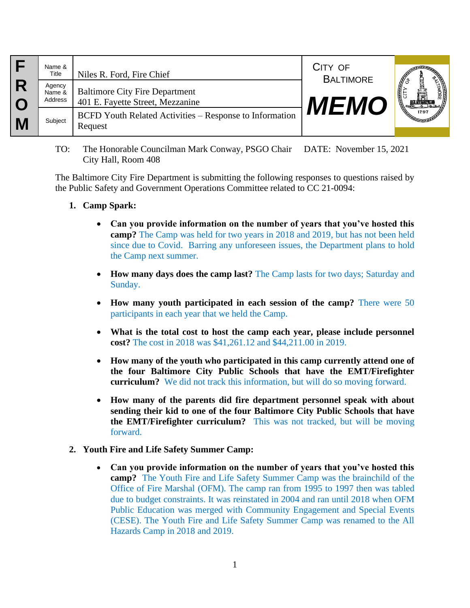|   | Name &<br>Title<br>Agency<br>Name &<br>Address | Niles R. Ford, Fire Chief<br><b>Baltimore City Fire Department</b><br>401 E. Fayette Street, Mezzanine | CITY OF<br><b>BALTIMORE</b><br><b>MEMO</b> | 1797 |
|---|------------------------------------------------|--------------------------------------------------------------------------------------------------------|--------------------------------------------|------|
| M | Subject                                        | <b>BCFD Youth Related Activities – Response to Information</b><br>Request                              |                                            |      |

TO: The Honorable Councilman Mark Conway, PSGO Chair DATE: November 15, 2021 City Hall, Room 408

The Baltimore City Fire Department is submitting the following responses to questions raised by the Public Safety and Government Operations Committee related to CC 21-0094:

- **1. Camp Spark:** 
	- **Can you provide information on the number of years that you've hosted this camp?** The Camp was held for two years in 2018 and 2019, but has not been held since due to Covid. Barring any unforeseen issues, the Department plans to hold the Camp next summer.
	- **How many days does the camp last?** The Camp lasts for two days; Saturday and Sunday.
	- **How many youth participated in each session of the camp?** There were 50 participants in each year that we held the Camp.
	- **What is the total cost to host the camp each year, please include personnel cost?** The cost in 2018 was \$41,261.12 and \$44,211.00 in 2019.
	- **How many of the youth who participated in this camp currently attend one of the four Baltimore City Public Schools that have the EMT/Firefighter curriculum?** We did not track this information, but will do so moving forward.
	- **How many of the parents did fire department personnel speak with about sending their kid to one of the four Baltimore City Public Schools that have the EMT/Firefighter curriculum?** This was not tracked, but will be moving forward.
- **2. Youth Fire and Life Safety Summer Camp:** 
	- **Can you provide information on the number of years that you've hosted this camp?** The Youth Fire and Life Safety Summer Camp was the brainchild of the Office of Fire Marshal (OFM). The camp ran from 1995 to 1997 then was tabled due to budget constraints. It was reinstated in 2004 and ran until 2018 when OFM Public Education was merged with Community Engagement and Special Events (CESE). The Youth Fire and Life Safety Summer Camp was renamed to the All Hazards Camp in 2018 and 2019.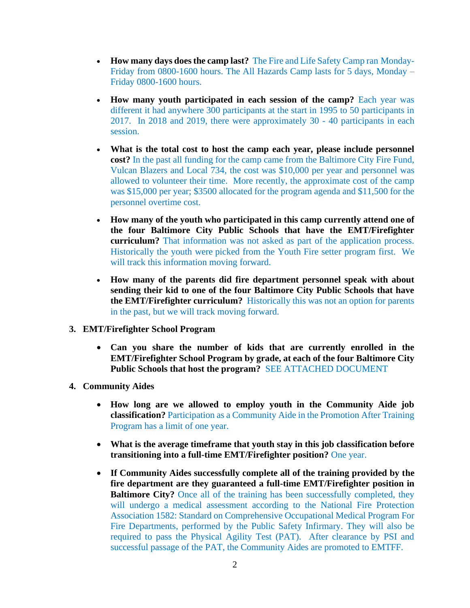- **How many days does the camp last?** The Fire and Life Safety Camp ran Monday-Friday from 0800-1600 hours. The All Hazards Camp lasts for 5 days, Monday – Friday 0800-1600 hours.
- **How many youth participated in each session of the camp?** Each year was different it had anywhere 300 participants at the start in 1995 to 50 participants in 2017. In 2018 and 2019, there were approximately 30 - 40 participants in each session.
- **What is the total cost to host the camp each year, please include personnel cost?** In the past all funding for the camp came from the Baltimore City Fire Fund, Vulcan Blazers and Local 734, the cost was \$10,000 per year and personnel was allowed to volunteer their time. More recently, the approximate cost of the camp was \$15,000 per year; \$3500 allocated for the program agenda and \$11,500 for the personnel overtime cost.
- **How many of the youth who participated in this camp currently attend one of the four Baltimore City Public Schools that have the EMT/Firefighter curriculum?** That information was not asked as part of the application process. Historically the youth were picked from the Youth Fire setter program first. We will track this information moving forward.
- **How many of the parents did fire department personnel speak with about sending their kid to one of the four Baltimore City Public Schools that have the EMT/Firefighter curriculum?** Historically this was not an option for parents in the past, but we will track moving forward.
- **3. EMT/Firefighter School Program**
	- **Can you share the number of kids that are currently enrolled in the EMT/Firefighter School Program by grade, at each of the four Baltimore City Public Schools that host the program?** SEE ATTACHED DOCUMENT
- **4. Community Aides**
	- **How long are we allowed to employ youth in the Community Aide job classification?** Participation as a Community Aide in the Promotion After Training Program has a limit of one year.
	- **What is the average timeframe that youth stay in this job classification before transitioning into a full-time EMT/Firefighter position?** One year.
	- **If Community Aides successfully complete all of the training provided by the fire department are they guaranteed a full-time EMT/Firefighter position in Baltimore City?** Once all of the training has been successfully completed, they will undergo a medical assessment according to the National Fire Protection Association 1582: Standard on Comprehensive Occupational Medical Program For Fire Departments, performed by the Public Safety Infirmary. They will also be required to pass the Physical Agility Test (PAT). After clearance by PSI and successful passage of the PAT, the Community Aides are promoted to EMTFF.